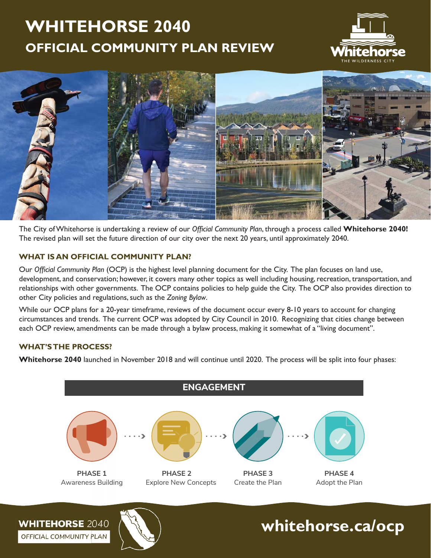# **WHITEHORSE 2040 OFFICIAL COMMUNITY PLAN REVIEW**





The City of Whitehorse is undertaking a review of our *Official Community Plan*, through a process called Whitehorse 2040! The revised plan will set the future direction of our city over the next 20 years, until approximately 2040.

# **WHAT IS AN OFFICIAL COMMUNITY PLAN?**

Our *Official Community Plan* (OCP) is the highest level planning document for the City. The plan focuses on land use, development, and conservation; however, it covers many other topics as well including housing, recreation, transportation, and relationships with other governments. The OCP contains policies to help guide the City. The OCP also provides direction to other City policies and regulations, such as the *Zoning Bylaw*.

While our OCP plans for a 20-year timeframe, reviews of the document occur every 8-10 years to account for changing circumstances and trends. The current OCP was adopted by City Council in 2010. Recognizing that cities change between each OCP review, amendments can be made through a bylaw process, making it somewhat of a "living document".

# **WHAT'S THE PROCESS?**

**Whitehorse 2040** launched in November 2018 and will continue until 2020. The process will be split into four phases:



**WHITEHORSE 2040** OFFICIAL COMMUNITY PLAN



**whitehorse.ca/ocp**